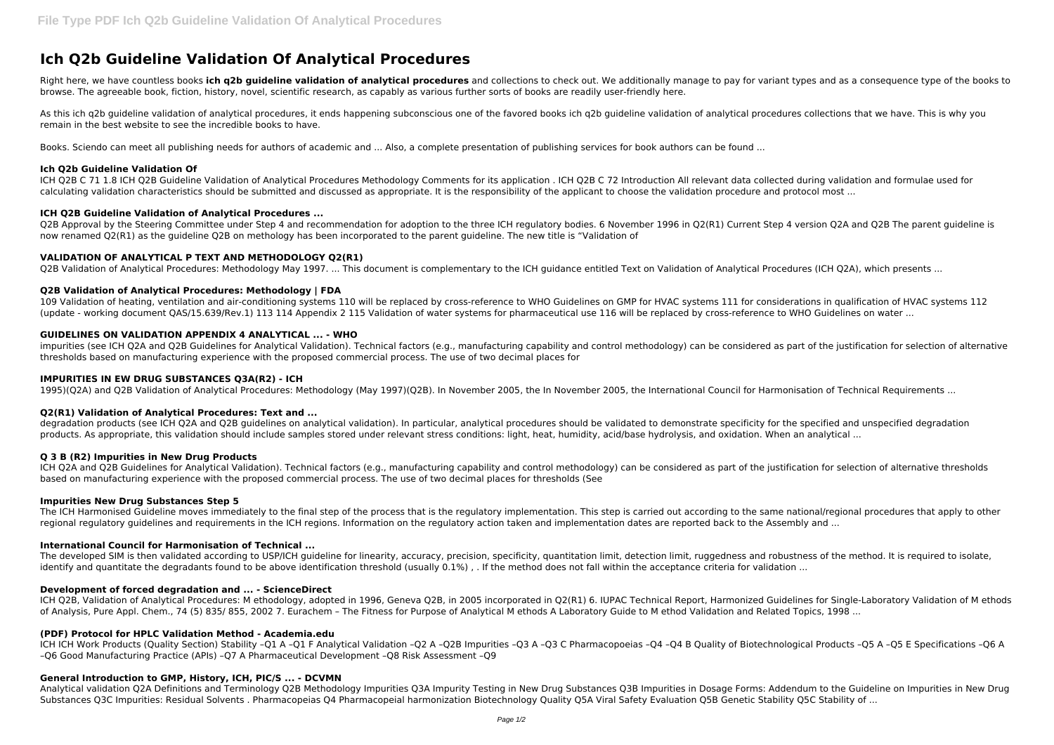# **Ich Q2b Guideline Validation Of Analytical Procedures**

Right here, we have countless books ich q2b guideline validation of analytical procedures and collections to check out. We additionally manage to pay for variant types and as a consequence type of the books to browse. The agreeable book, fiction, history, novel, scientific research, as capably as various further sorts of books are readily user-friendly here.

As this ich q2b quideline validation of analytical procedures, it ends happening subconscious one of the favored books ich q2b quideline validation of analytical procedures collections that we have. This is why you remain in the best website to see the incredible books to have.

Books. Sciendo can meet all publishing needs for authors of academic and ... Also, a complete presentation of publishing services for book authors can be found ...

# **Ich Q2b Guideline Validation Of**

ICH Q2B C 71 1.8 ICH Q2B Guideline Validation of Analytical Procedures Methodology Comments for its application . ICH Q2B C 72 Introduction All relevant data collected during validation and formulae used for calculating validation characteristics should be submitted and discussed as appropriate. It is the responsibility of the applicant to choose the validation procedure and protocol most ...

### **ICH Q2B Guideline Validation of Analytical Procedures ...**

Q2B Approval by the Steering Committee under Step 4 and recommendation for adoption to the three ICH regulatory bodies. 6 November 1996 in Q2(R1) Current Step 4 version Q2A and Q2B The parent guideline is now renamed Q2(R1) as the guideline Q2B on methology has been incorporated to the parent guideline. The new title is "Validation of

# **VALIDATION OF ANALYTICAL P TEXT AND METHODOLOGY Q2(R1)**

Q2B Validation of Analytical Procedures: Methodology May 1997. ... This document is complementary to the ICH guidance entitled Text on Validation of Analytical Procedures (ICH Q2A), which presents ...

ICH Q2A and Q2B Guidelines for Analytical Validation). Technical factors (e.g., manufacturing capability and control methodology) can be considered as part of the justification for selection of alternative thresholds based on manufacturing experience with the proposed commercial process. The use of two decimal places for thresholds (See

# **Q2B Validation of Analytical Procedures: Methodology | FDA**

109 Validation of heating, ventilation and air-conditioning systems 110 will be replaced by cross-reference to WHO Guidelines on GMP for HVAC systems 111 for considerations in qualification of HVAC systems 112 (update - working document QAS/15.639/Rev.1) 113 114 Appendix 2 115 Validation of water systems for pharmaceutical use 116 will be replaced by cross-reference to WHO Guidelines on water ...

# **GUIDELINES ON VALIDATION APPENDIX 4 ANALYTICAL ... - WHO**

impurities (see ICH Q2A and Q2B Guidelines for Analytical Validation). Technical factors (e.g., manufacturing capability and control methodology) can be considered as part of the justification for selection of alternative thresholds based on manufacturing experience with the proposed commercial process. The use of two decimal places for

ICH ICH Work Products (Quality Section) Stability -Q1 A -Q1 F Analytical Validation -Q2 A -Q2B Impurities -Q3 A -O3 C Pharmacopoeias -Q4 -Q4 B Quality of Biotechnological Products -Q5 A -Q5 E Specifications -Q6 A –Q6 Good Manufacturing Practice (APIs) –Q7 A Pharmaceutical Development –Q8 Risk Assessment –Q9

Analytical validation Q2A Definitions and Terminology Q2B Methodology Impurities Q3A Impurity Testing in New Drug Substances Q3B Impurities in Dosage Forms: Addendum to the Guideline on Impurities in New Drug Substances Q3C Impurities: Residual Solvents . Pharmacopeias Q4 Pharmacopeial harmonization Biotechnology Quality Q5A Viral Safety Evaluation Q5B Genetic Stability Q5C Stability of ...

### **IMPURITIES IN EW DRUG SUBSTANCES Q3A(R2) - ICH**

1995)(Q2A) and Q2B Validation of Analytical Procedures: Methodology (May 1997)(Q2B). In November 2005, the In November 2005, the International Council for Harmonisation of Technical Requirements ...

### **Q2(R1) Validation of Analytical Procedures: Text and ...**

degradation products (see ICH Q2A and Q2B guidelines on analytical validation). In particular, analytical procedures should be validated to demonstrate specificity for the specified and unspecified degradation products. As appropriate, this validation should include samples stored under relevant stress conditions: light, heat, humidity, acid/base hydrolysis, and oxidation. When an analytical ...

### **Q 3 B (R2) Impurities in New Drug Products**

### **Impurities New Drug Substances Step 5**

The ICH Harmonised Guideline moves immediately to the final step of the process that is the regulatory implementation. This step is carried out according to the same national/regional procedures that apply to other regional regulatory guidelines and reguirements in the ICH regions. Information on the regulatory action taken and implementation dates are reported back to the Assembly and ...

### **International Council for Harmonisation of Technical ...**

The developed SIM is then validated according to USP/ICH guideline for linearity, accuracy, precision, specificity, quantitation limit, detection limit, ruggedness and robustness of the method. It is required to isolate, identify and quantitate the degradants found to be above identification threshold (usually 0.1%), . If the method does not fall within the acceptance criteria for validation ...

### **Development of forced degradation and ... - ScienceDirect**

ICH Q2B, Validation of Analytical Procedures: M ethodology, adopted in 1996, Geneva Q2B, in 2005 incorporated in Q2(R1) 6. IUPAC Technical Report, Harmonized Guidelines for Single-Laboratory Validation of M ethods of Analysis, Pure Appl. Chem., 74 (5) 835/ 855, 2002 7. Eurachem – The Fitness for Purpose of Analytical M ethods A Laboratory Guide to M ethod Validation and Related Topics, 1998 ...

# **(PDF) Protocol for HPLC Validation Method - Academia.edu**

# **General Introduction to GMP, History, ICH, PIC/S ... - DCVMN**